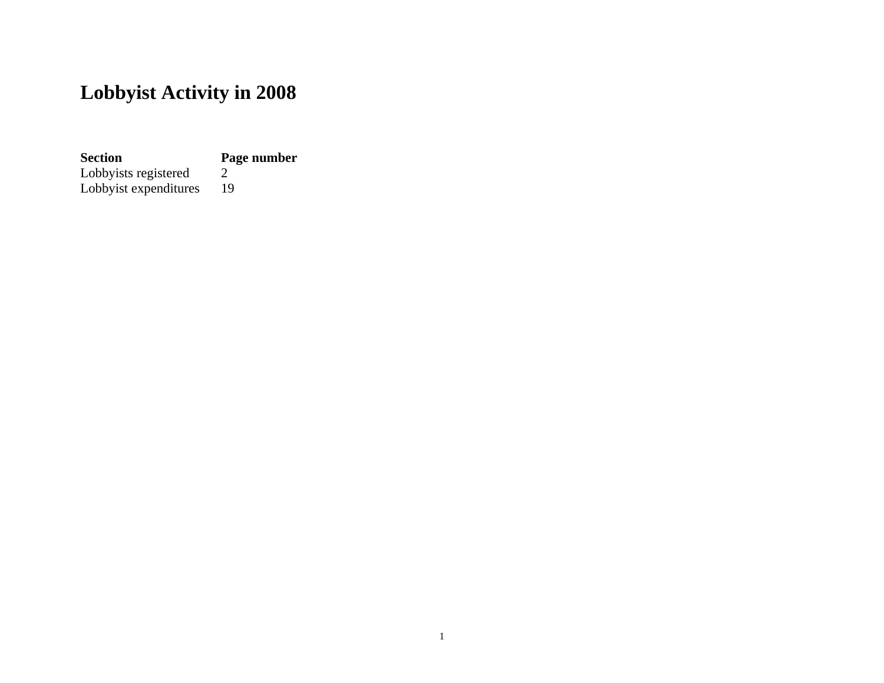# **Lobbyist Activity in 2008**

**Section Page number**

Lobbyists registered 2 Lobbyists registered 2<br>Lobbyist expenditures 19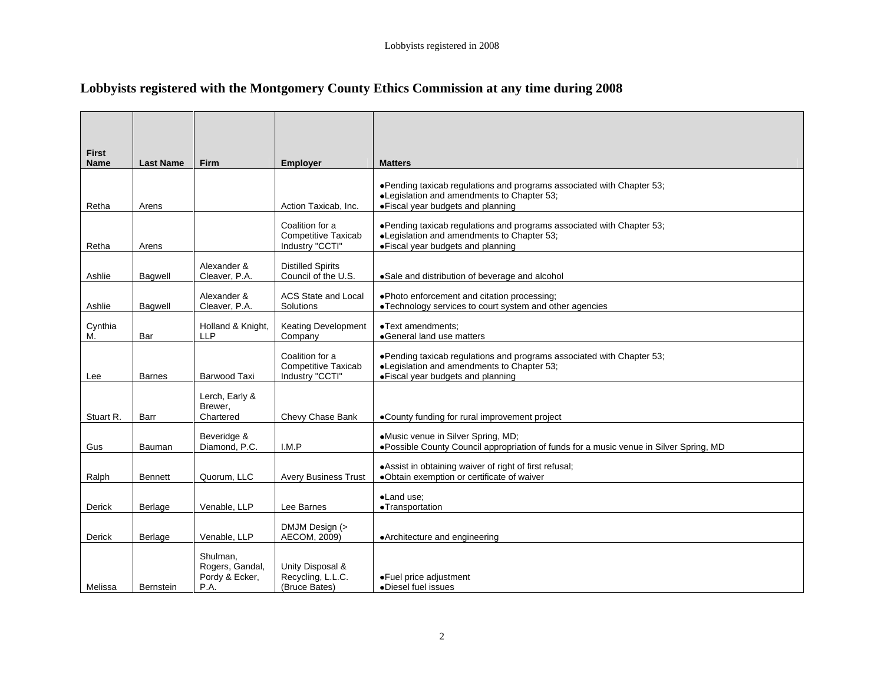## **Lobbyists registered with the Montgomery County Ethics Commission at any time during 2008**

| First<br>Name |                  |                              |                                                 |                                                                                                                              |
|---------------|------------------|------------------------------|-------------------------------------------------|------------------------------------------------------------------------------------------------------------------------------|
|               | Last Name Firm   |                              | Employer                                        | <b>Matters</b>                                                                                                               |
|               |                  |                              |                                                 | ● Pending taxicab regulations and programs associated with Chapter 53;                                                       |
|               |                  |                              |                                                 | <b>Legislation and amendments to Chapter 53;</b>                                                                             |
| Retha         | Arens            |                              |                                                 | Action Taxicab, Inc.   • Fiscal year budgets and planning                                                                    |
|               |                  |                              | Coalition for a                                 | ● Pending taxicab regulations and programs associated with Chapter 53;                                                       |
| Retha         | Arens            |                              | <b>Competitive Taxicab</b><br>Industry "CCTI"   | •Legislation and amendments to Chapter 53;<br>· Fiscal year budgets and planning                                             |
|               |                  |                              |                                                 |                                                                                                                              |
| Ashlie        | Bagwell          | Alexander &<br>Cleaver, P.A. | <b>Distilled Spirits</b><br>Council of the U.S. | •Sale and distribution of beverage and alcohol                                                                               |
|               |                  | Alexander &                  | ACS State and Local                             | • Photo enforcement and citation processing;                                                                                 |
| Ashlie        | Bagwell          | Cleaver, P.A.                | Solutions                                       | . Technology services to court system and other agencies                                                                     |
| Cynthia       |                  |                              | Holland & Knight,   Keating Development         | •Text amendments;                                                                                                            |
|               |                  | LLP                          | Company                                         | •General land use matters                                                                                                    |
|               |                  |                              | Coalition for a                                 | ● Pending taxicab regulations and programs associated with Chapter 53;                                                       |
|               |                  |                              | <b>Competitive Taxicab</b>                      | <b>Legislation and amendments to Chapter 53;</b>                                                                             |
| Lee           | <b>Barnes</b>    | Barwood Taxi                 | Industry "CCTI"                                 | • Fiscal year budgets and planning                                                                                           |
|               |                  | Lerch, Early &               |                                                 |                                                                                                                              |
| Stuart R.     | Barr             | Brewer,<br>Chartered         |                                                 | Chevy Chase Bank   .County funding for rural improvement project                                                             |
|               |                  |                              |                                                 |                                                                                                                              |
|               | Bauman           | Beveridge &<br>Diamond, P.C. | $\vert$ I.M.P                                   | Music venue in Silver Spring, MD;<br>. Possible County Council appropriation of funds for a music venue in Silver Spring, MD |
|               |                  |                              |                                                 |                                                                                                                              |
| Ralph         | Bennett          | Quorum, LLC                  |                                                 | .Assist in obtaining waiver of right of first refusal;<br>Avery Business Trust   .Obtain exemption or certificate of waiver  |
|               |                  |                              |                                                 |                                                                                                                              |
| Derick        | Berlage          | Venable, LLP Lee Barnes      |                                                 | ·Land use;<br>•Transportation                                                                                                |
|               |                  |                              |                                                 |                                                                                                                              |
| Derick        | Berlage          | Venable, LLP                 | DMJM Design (><br>AECOM, 2009)                  | •Architecture and engineering                                                                                                |
|               |                  |                              |                                                 |                                                                                                                              |
|               |                  | Shulman,                     | Rogers, Gandal, Unity Disposal &                |                                                                                                                              |
| Melissa       |                  | Pordy & Ecker,<br>P A        | Recycling, L.L.C.                               | •Fuel price adjustment<br>•Diesel fuel issues                                                                                |
|               | <b>Bernstein</b> |                              | (Bruce Bates)                                   |                                                                                                                              |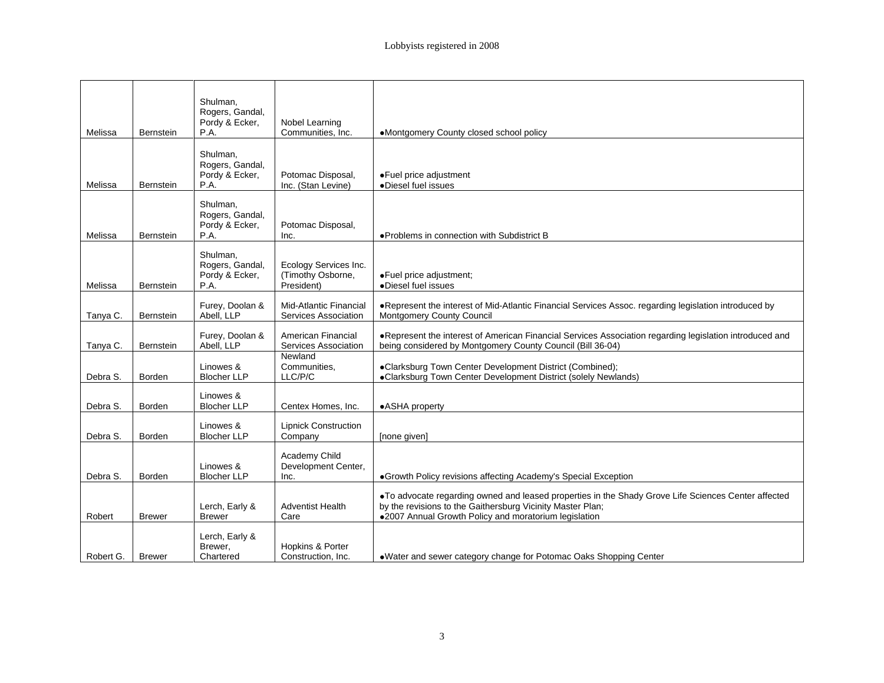|                    |                    | Shulman,<br>Rogers, Gandal,     |                                        |                                                                                                                                                                  |
|--------------------|--------------------|---------------------------------|----------------------------------------|------------------------------------------------------------------------------------------------------------------------------------------------------------------|
|                    |                    | Pordy & Ecker,                  | Nobel Learning                         |                                                                                                                                                                  |
| Melissa            | Bernstein          | P.A.                            | Communities, Inc.                      | . Montgomery County closed school policy                                                                                                                         |
|                    |                    |                                 |                                        |                                                                                                                                                                  |
|                    |                    | Shulman,                        |                                        |                                                                                                                                                                  |
|                    |                    | Rogers, Gandal,                 |                                        |                                                                                                                                                                  |
|                    |                    | Pordy & Ecker,                  | Potomac Disposal,                      | ·Fuel price adjustment                                                                                                                                           |
| Melissa            | Bernstein          | P.A.                            | Inc. (Stan Levine)                     | •Diesel fuel issues                                                                                                                                              |
|                    |                    | Shulman,                        |                                        |                                                                                                                                                                  |
|                    |                    | Rogers, Gandal,                 |                                        |                                                                                                                                                                  |
|                    |                    | Pordy & Ecker,                  | Potomac Disposal,                      |                                                                                                                                                                  |
| Melissa            | Bernstein          | P.A                             | Inc.                                   | ● Problems in connection with Subdistrict B                                                                                                                      |
|                    |                    | Shulman,                        |                                        |                                                                                                                                                                  |
|                    |                    | Rogers, Gandal,                 | Ecology Services Inc.                  |                                                                                                                                                                  |
|                    |                    | Pordy & Ecker,                  | (Timothy Osborne,<br>President)        | ·Fuel price adjustment;                                                                                                                                          |
| Melissa            | Bernstein          | P.A.                            |                                        | ·Diesel fuel issues                                                                                                                                              |
|                    |                    |                                 | Mid-Atlantic Financial                 | . Represent the interest of Mid-Atlantic Financial Services Assoc. regarding legislation introduced by                                                           |
|                    | Tanya C. Bernstein | Furey, Doolan &<br>Abell, LLP   |                                        | Services Association   Montgomery County Council                                                                                                                 |
|                    |                    |                                 |                                        |                                                                                                                                                                  |
|                    |                    | Furey, Doolan &                 | American Financial                     | . Represent the interest of American Financial Services Association regarding legislation introduced and                                                         |
| Tanya C.           | Bernstein          | Abell. LLP                      | Services Association                   | being considered by Montgomery County Council (Bill 36-04)                                                                                                       |
|                    |                    |                                 | Newland                                |                                                                                                                                                                  |
|                    |                    | Linowes &<br><b>Blocher LLP</b> | Communities,<br>LLC/P/C                | ●Clarksburg Town Center Development District (Combined);<br>●Clarksburg Town Center Development District (solely Newlands)                                       |
| Debra S.           | Borden             |                                 |                                        |                                                                                                                                                                  |
|                    |                    | Linowes &                       |                                        |                                                                                                                                                                  |
| Debra S.           | Borden             | <b>Blocher LLP</b>              | Centex Homes, Inc.                     | •ASHA property                                                                                                                                                   |
|                    |                    |                                 |                                        |                                                                                                                                                                  |
| Debra S.           | Borden             | Linowes &<br><b>Blocher LLP</b> | <b>Lipnick Construction</b><br>Company |                                                                                                                                                                  |
|                    |                    |                                 |                                        | [none given]                                                                                                                                                     |
|                    |                    |                                 |                                        |                                                                                                                                                                  |
|                    |                    | Linowes &                       | Academy Child<br>Development Center,   |                                                                                                                                                                  |
| Debra S.           | Borden             | <b>Blocher LLP</b>              | Inc                                    | Growth Policy revisions affecting Academy's Special Exception                                                                                                    |
|                    |                    |                                 |                                        |                                                                                                                                                                  |
|                    |                    | Lerch, Early &                  | <b>Adventist Health</b>                | To advocate regarding owned and leased properties in the Shady Grove Life Sciences Center affected<br>by the revisions to the Gaithersburg Vicinity Master Plan; |
| Robert             | <b>Brewer</b>      | <b>Brewer</b>                   | Care                                   | •2007 Annual Growth Policy and moratorium legislation                                                                                                            |
|                    |                    |                                 |                                        |                                                                                                                                                                  |
|                    |                    | Lerch, Early &                  |                                        |                                                                                                                                                                  |
|                    |                    | Brewer,                         | Hopkins & Porter                       |                                                                                                                                                                  |
| Robert G.   Brewer |                    | Chartered                       | Construction, Inc.                     | . Water and sewer category change for Potomac Oaks Shopping Center                                                                                               |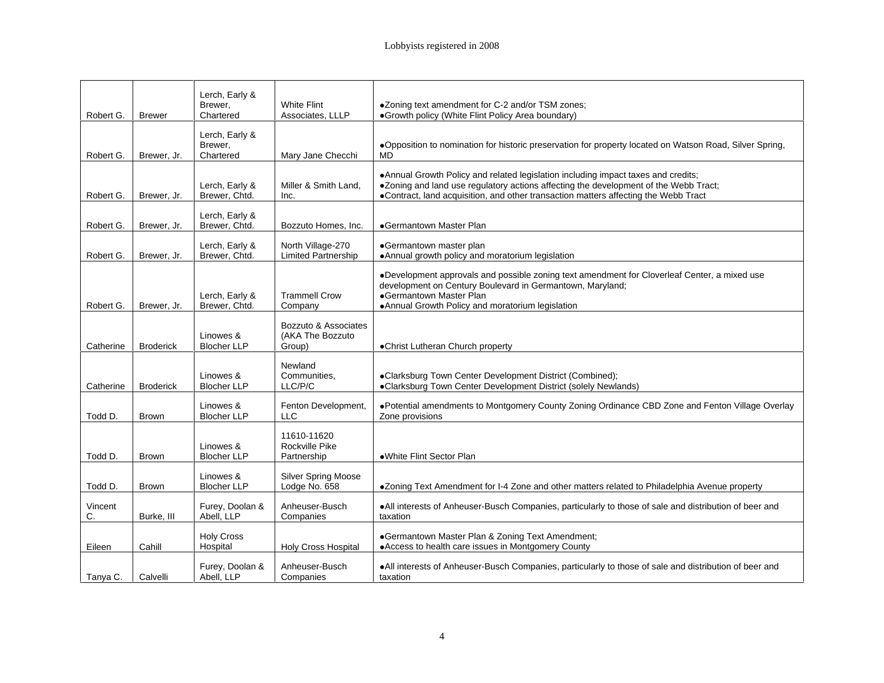|                         |              | Lerch, Early &<br>Brewer.       | <b>White Flint</b>                              | •Zoning text amendment for C-2 and/or TSM zones;                                                                                                                             |
|-------------------------|--------------|---------------------------------|-------------------------------------------------|------------------------------------------------------------------------------------------------------------------------------------------------------------------------------|
| Robert G. Brewer        |              | Chartered                       | Associates, LLLP                                | •Growth policy (White Flint Policy Area boundary)                                                                                                                            |
|                         |              | Lerch, Early &                  |                                                 |                                                                                                                                                                              |
|                         |              | Brewer,                         |                                                 | . Opposition to nomination for historic preservation for property located on Watson Road, Silver Spring,                                                                     |
| Robert G. Brewer, Jr.   |              | Chartered                       | Mary Jane Checchi                               | <b>MD</b>                                                                                                                                                                    |
|                         |              |                                 |                                                 | . Annual Growth Policy and related legislation including impact taxes and credits;                                                                                           |
| Robert G.   Brewer. Jr. |              | Lerch, Early &<br>Brewer, Chtd. | Miller & Smith Land,<br>Inc                     | . Zoning and land use regulatory actions affecting the development of the Webb Tract;<br>•Contract, land acquisition, and other transaction matters affecting the Webb Tract |
|                         |              |                                 |                                                 |                                                                                                                                                                              |
| Robert G. Brewer, Jr.   |              | Lerch, Early &<br>Brewer, Chtd. | Bozzuto Homes, Inc.                             | Germantown Master Plan                                                                                                                                                       |
|                         |              |                                 |                                                 |                                                                                                                                                                              |
| Robert G.   Brewer, Jr. |              | Lerch, Early &<br>Brewer, Chtd. | North Village-270<br><b>Limited Partnership</b> | •Germantown master plan<br>. Annual growth policy and moratorium legislation                                                                                                 |
|                         |              |                                 |                                                 |                                                                                                                                                                              |
|                         |              |                                 |                                                 | ● Development approvals and possible zoning text amendment for Cloverleaf Center, a mixed use<br>development on Century Boulevard in Germantown, Maryland;                   |
|                         |              | Lerch, Early &                  | <b>Trammell Crow</b>                            | •Germantown Master Plan                                                                                                                                                      |
| Robert G. Brewer, Jr.   |              | Brewer, Chtd.                   | Company                                         | • Annual Growth Policy and moratorium legislation                                                                                                                            |
|                         |              |                                 | Bozzuto & Associates                            |                                                                                                                                                                              |
| Catherine   Broderick   |              | Linowes &<br><b>Blocher LLP</b> | (AKA The Bozzuto                                | •Christ Lutheran Church property                                                                                                                                             |
|                         |              |                                 | Group)                                          |                                                                                                                                                                              |
|                         |              | Linowes &                       | Newland<br>Communities                          | ·Clarksburg Town Center Development District (Combined);                                                                                                                     |
| Catherine Broderick     |              | <b>Blocher LLP</b>              | LLC/P/C                                         | •Clarksburg Town Center Development District (solely Newlands)                                                                                                               |
|                         |              |                                 | Fenton Development,                             | ·Potential amendments to Montgomery County Zoning Ordinance CBD Zone and Fenton Village Overlay                                                                              |
| Todd D.                 | Brown        | Linowes &<br><b>Blocher LLP</b> | H C                                             | Zone provisions                                                                                                                                                              |
|                         |              |                                 |                                                 |                                                                                                                                                                              |
|                         |              | Linowes &                       | 11610-11620<br>Rockville Pike                   |                                                                                                                                                                              |
| Todd D.                 | Brown        | <b>Blocher LLP</b>              | Partnership                                     | ·White Flint Sector Plan                                                                                                                                                     |
|                         |              | Linowes &                       | Silver Spring Moose                             |                                                                                                                                                                              |
| Todd D.                 | <b>Brown</b> | <b>Blocher LLP</b>              | Lodge No. 658                                   | •Zoning Text Amendment for I-4 Zone and other matters related to Philadelphia Avenue property                                                                                |
| Vincent                 |              | Furey, Doolan                   | Anheuser-Busch                                  | . All interests of Anheuser-Busch Companies, particularly to those of sale and distribution of beer and                                                                      |
|                         | Burke, III   | Abell, LLP                      | Companies                                       | taxation                                                                                                                                                                     |
|                         |              | <b>Holy Cross</b>               |                                                 | •Germantown Master Plan & Zoning Text Amendment;                                                                                                                             |
| Eileen                  | Cahill       | Hospital                        | <b>Holy Cross Hospital</b>                      | • Access to health care issues in Montgomery County                                                                                                                          |
|                         |              | Furey, Doolan &                 | Anheuser-Busch                                  | . All interests of Anheuser-Busch Companies, particularly to those of sale and distribution of beer and                                                                      |
| Tanya C. Calvelli       |              | Abell, LLP                      | Companies                                       | taxation                                                                                                                                                                     |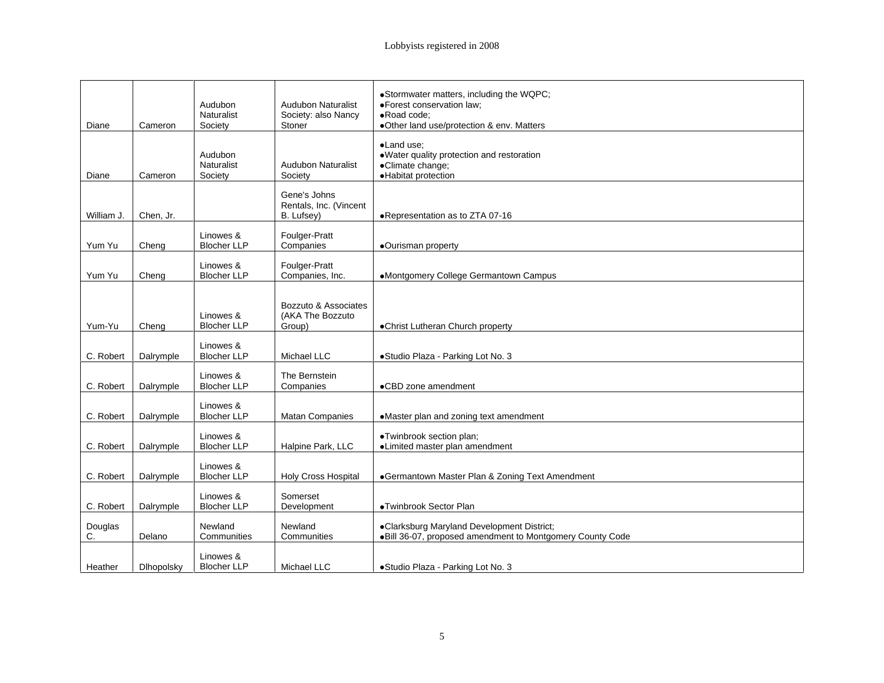|                |                       |                                 |                               | ·Stormwater matters, including the WQPC;                             |
|----------------|-----------------------|---------------------------------|-------------------------------|----------------------------------------------------------------------|
|                |                       | Audubon                         | Audubon Naturalist            | ·Forest conservation law;                                            |
| Diane          | Cameron               | Naturalist<br>Societv           | Society: also Nancy<br>Stoner | ·Road code;<br>•Other land use/protection & env. Matters             |
|                |                       |                                 |                               |                                                                      |
|                |                       |                                 |                               | ·Land use;                                                           |
|                |                       | Audubon<br>Naturalist           | Audubon Naturalist            | · Water quality protection and restoration<br>·Climate change;       |
| Diane          | Cameron               | Society                         | Society                       | ·Habitat protection                                                  |
|                |                       |                                 | Gene's Johns                  |                                                                      |
|                |                       |                                 | Rentals, Inc. (Vincent        |                                                                      |
|                | William J. Chen, Jr.  |                                 | B. Lufsey)                    | ●Representation as to ZTA 07-16                                      |
|                |                       | Linowes &                       |                               |                                                                      |
| Yum Yu         | Cheng                 | <b>Blocher LLP</b>              | Foulger-Pratt<br>Companies    | ·Ourisman property                                                   |
|                |                       | Linowes &                       | Foulger-Pratt                 |                                                                      |
| Yum Yu   Cheng |                       | <b>Blocher LLP</b>              | Companies, Inc.               | •Montgomery College Germantown Campus                                |
|                |                       |                                 |                               |                                                                      |
|                |                       |                                 | Bozzuto & Associates          |                                                                      |
|                |                       | Linowes &                       | (AKA The Bozzuto              |                                                                      |
| Yum-Yu         | Cheng                 | <b>Blocher LLP</b>              | Group)                        | <b>.</b> Christ Lutheran Church property                             |
|                |                       | Linowes &                       |                               |                                                                      |
|                | C. Robert   Dalrymple | <b>Blocher LLP</b>              | Michael LLC                   | •Studio Plaza - Parking Lot No. 3                                    |
|                |                       | Linowes &                       | The Bernstein                 |                                                                      |
|                | C. Robert   Dalrymple | <b>Blocher LLP</b>              | Companies                     | •CBD zone amendment                                                  |
|                |                       | Linowes &                       |                               |                                                                      |
|                | C. Robert Dalrymple   | <b>Blocher LLP</b>              | <b>Matan Companies</b>        | •Master plan and zoning text amendment                               |
|                |                       | Linowes &                       |                               | ·Twinbrook section plan;                                             |
|                | C. Robert Dalrymple   | <b>Blocher LLP</b>              | Halpine Park, LLC             | •Limited master plan amendment                                       |
|                |                       |                                 |                               |                                                                      |
|                | C. Robert   Dalrymple | Linowes &<br><b>Blocher LLP</b> |                               | Holy Cross Hospital   Germantown Master Plan & Zoning Text Amendment |
|                |                       |                                 |                               |                                                                      |
|                | C. Robert   Dalrymple | Linowes &<br><b>Blocher LLP</b> | Somerset<br>Development       | ·Twinbrook Sector Plan                                               |
|                |                       |                                 |                               |                                                                      |
| Douglas        |                       | Newland                         | Newland                       | •Clarksburg Maryland Development District;                           |
|                | Delano                | Communities                     | Communities                   | . Bill 36-07, proposed amendment to Montgomery County Code           |
|                |                       | Linowes &                       |                               |                                                                      |
| Heather        | Dlhopolsky            | <b>Blocher LLP</b>              | Michael LLC                   | •Studio Plaza - Parking Lot No. 3                                    |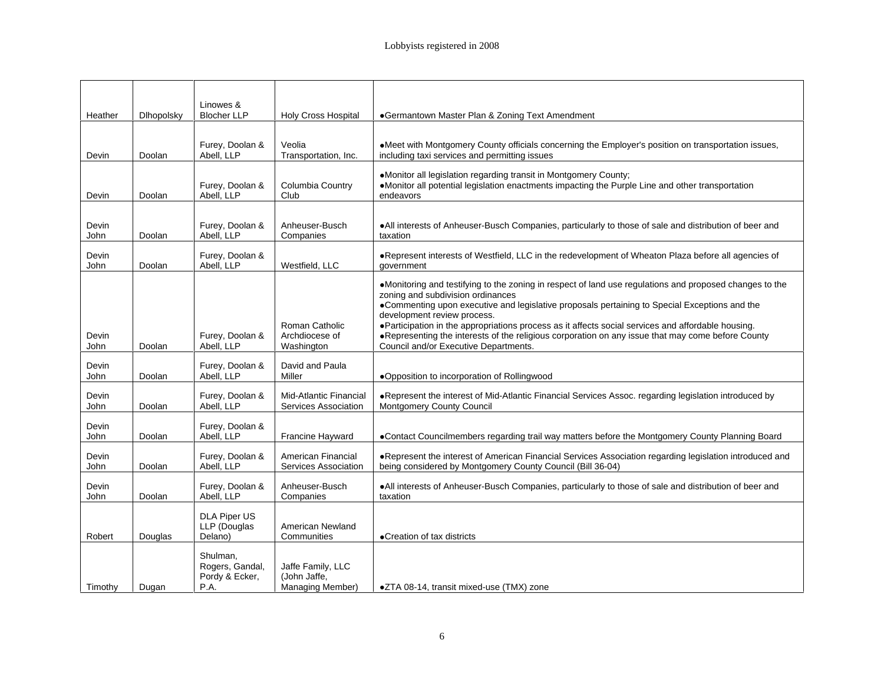|                      |            | Linowes &                                           |                                                |                                                                                                                                                                                                                                                                                                                                                                                                                                                                                                                                    |
|----------------------|------------|-----------------------------------------------------|------------------------------------------------|------------------------------------------------------------------------------------------------------------------------------------------------------------------------------------------------------------------------------------------------------------------------------------------------------------------------------------------------------------------------------------------------------------------------------------------------------------------------------------------------------------------------------------|
| Heather              | Dihopolsky | <b>Blocher LLP</b>                                  | <b>Holy Cross Hospital</b>                     | Germantown Master Plan & Zoning Text Amendment                                                                                                                                                                                                                                                                                                                                                                                                                                                                                     |
| Devin                | Doolan     | Furey, Doolan &<br>Abell, LLP                       | Veolia<br>Transportation, Inc.                 | •Meet with Montgomery County officials concerning the Employer's position on transportation issues,<br>including taxi services and permitting issues                                                                                                                                                                                                                                                                                                                                                                               |
| Devin                | Doolan     | Furey, Doolan &<br>Abell, LLP                       | Columbia Country<br>Club                       | ·Monitor all legislation regarding transit in Montgomery County;<br>. Monitor all potential legislation enactments impacting the Purple Line and other transportation<br>endeavors                                                                                                                                                                                                                                                                                                                                                 |
| Devin<br><b>John</b> | Doolan     | Furey, Doolan &<br>Abell, LLP                       | Anheuser-Busch<br>Companies                    | . All interests of Anheuser-Busch Companies, particularly to those of sale and distribution of beer and<br>taxation                                                                                                                                                                                                                                                                                                                                                                                                                |
| Devin<br>John        | Doolan     | Furey, Doolan &<br>Abell, LLP                       | Westfield, LLC                                 | ·Represent interests of Westfield, LLC in the redevelopment of Wheaton Plaza before all agencies of<br>qovernment                                                                                                                                                                                                                                                                                                                                                                                                                  |
| Devin<br>John        | Doolan     | Furey, Doolan 8<br>Abell, LLP                       | Roman Catholic<br>Archdiocese of<br>Washington | •Monitoring and testifying to the zoning in respect of land use regulations and proposed changes to the<br>zoning and subdivision ordinances<br>•Commenting upon executive and legislative proposals pertaining to Special Exceptions and the<br>development review process.<br>. Participation in the appropriations process as it affects social services and affordable housing.<br>. Representing the interests of the religious corporation on any issue that may come before County<br>Council and/or Executive Departments. |
| Devin<br>John        | Doolan     | Furey, Doolan 8<br>Abell, LLP                       | David and Paula<br>Miller                      | . Opposition to incorporation of Rollingwood                                                                                                                                                                                                                                                                                                                                                                                                                                                                                       |
| Devin<br>John        | Doolan     | Furey, Doolan<br>Abell, LLP                         | Mid-Atlantic Financial                         | . Represent the interest of Mid-Atlantic Financial Services Assoc. regarding legislation introduced by<br>Services Association   Montgomery County Council                                                                                                                                                                                                                                                                                                                                                                         |
| Devin<br>John        | Doolan     | Furey, Doolan &<br>Abell, LLP                       | Francine Hayward                               | •Contact Councilmembers regarding trail way matters before the Montgomery County Planning Board                                                                                                                                                                                                                                                                                                                                                                                                                                    |
| Devin<br>John        | Doolan     | Furey, Doolan &<br>Abell, LLP                       | American Financial<br>Services Association     | . Represent the interest of American Financial Services Association regarding legislation introduced and<br>being considered by Montgomery County Council (Bill 36-04)                                                                                                                                                                                                                                                                                                                                                             |
| Devin<br>John        | Doolan     | Furey, Doolan &<br>Abell, LLP                       | Anheuser-Busch<br>Companies                    | . All interests of Anheuser-Busch Companies, particularly to those of sale and distribution of beer and<br>taxation                                                                                                                                                                                                                                                                                                                                                                                                                |
| Robert               | Douglas    | DLA Piper US<br>LLP (Douglas<br>Delano)             | American Newland<br>Communities                | • Creation of tax districts                                                                                                                                                                                                                                                                                                                                                                                                                                                                                                        |
| Timothy Dugan        |            | Shulman.<br>Rogers, Gandal,<br>Pordy & Ecker,<br>PA | Jaffe Family, LLC<br>(John Jaffe,              | Managing Member)   $\bullet$ ZTA 08-14, transit mixed-use (TMX) zone                                                                                                                                                                                                                                                                                                                                                                                                                                                               |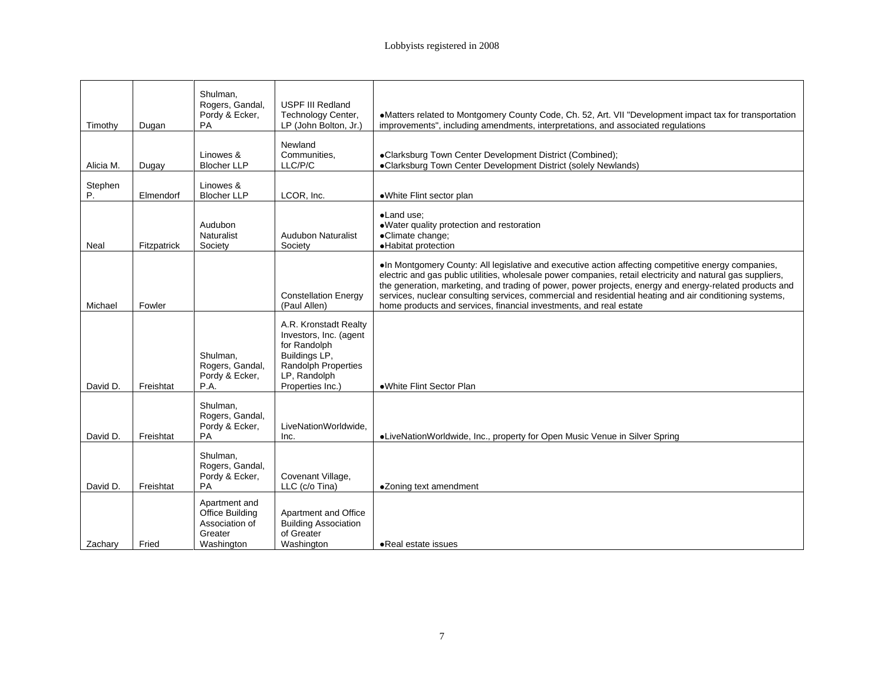|               |                    | Shulman,<br>Rogers, Gandal,                                                 | USPF III Redland                                                                                                                            |                                                                                                                                                                                                                                                                                                                                                                                                                                                                                                                 |
|---------------|--------------------|-----------------------------------------------------------------------------|---------------------------------------------------------------------------------------------------------------------------------------------|-----------------------------------------------------------------------------------------------------------------------------------------------------------------------------------------------------------------------------------------------------------------------------------------------------------------------------------------------------------------------------------------------------------------------------------------------------------------------------------------------------------------|
| Timothy       | Dugan              | Pordy & Ecker,<br>PA                                                        | Technology Center,<br>LP (John Bolton, Jr.)                                                                                                 | ·Matters related to Montgomery County Code, Ch. 52, Art. VII "Development impact tax for transportation<br>improvements", including amendments, interpretations, and associated regulations                                                                                                                                                                                                                                                                                                                     |
| Alicia M.     | Dugay              | Linowes &<br><b>Blocher LLP</b>                                             | Newland<br>Communities,<br>LLC/P/C                                                                                                          | ·Clarksburg Town Center Development District (Combined);<br>•Clarksburg Town Center Development District (solely Newlands)                                                                                                                                                                                                                                                                                                                                                                                      |
| Stephen<br>D. | Elmendorf          | Linowes &<br><b>Blocher LLP</b>                                             | LCOR, Inc.                                                                                                                                  | •White Flint sector plan                                                                                                                                                                                                                                                                                                                                                                                                                                                                                        |
| Neal          | Fitzpatrick        | Audubon<br>Naturalist<br>Society                                            | <b>Audubon Naturalist</b><br>Society                                                                                                        | ·Land use;<br>. Water quality protection and restoration<br>·Climate change;<br>·Habitat protection                                                                                                                                                                                                                                                                                                                                                                                                             |
| Michael       | Fowler             |                                                                             | <b>Constellation Energy</b><br>(Paul Allen)                                                                                                 | . In Montgomery County: All legislative and executive action affecting competitive energy companies,<br>electric and gas public utilities, wholesale power companies, retail electricity and natural gas suppliers,<br>the generation, marketing, and trading of power, power projects, energy and energy-related products and<br>services, nuclear consulting services, commercial and residential heating and air conditioning systems,<br>home products and services, financial investments, and real estate |
| David D.      | Freishtat          | Shulman,<br>Rogers, Gandal,<br>Pordy & Ecker,<br>P.A.                       | A.R. Kronstadt Realty<br>Investors, Inc. (agent<br>for Randolph<br>Buildings LP,<br>Randolph Properties<br>LP, Randolph<br>Properties Inc.) | . White Flint Sector Plan                                                                                                                                                                                                                                                                                                                                                                                                                                                                                       |
|               | David D. Freishtat | Shulman,<br>Rogers, Gandal,<br>Pordy & Ecker,<br>PA                         | LiveNationWorldwide,<br>Inc.                                                                                                                | ·LiveNationWorldwide, Inc., property for Open Music Venue in Silver Spring                                                                                                                                                                                                                                                                                                                                                                                                                                      |
|               | David D. Freishtat | Shulman,<br>Rogers, Gandal,<br>Pordy & Ecker,<br>PA                         | Covenant Village,<br>LLC (c/o Tina)                                                                                                         | •Zoning text amendment                                                                                                                                                                                                                                                                                                                                                                                                                                                                                          |
| Zachary       | Fried              | Apartment and<br>Office Building<br>Association of<br>Greater<br>Washington | Apartment and Office<br><b>Building Association</b><br>of Greater<br>Washington                                                             | Real estate issues                                                                                                                                                                                                                                                                                                                                                                                                                                                                                              |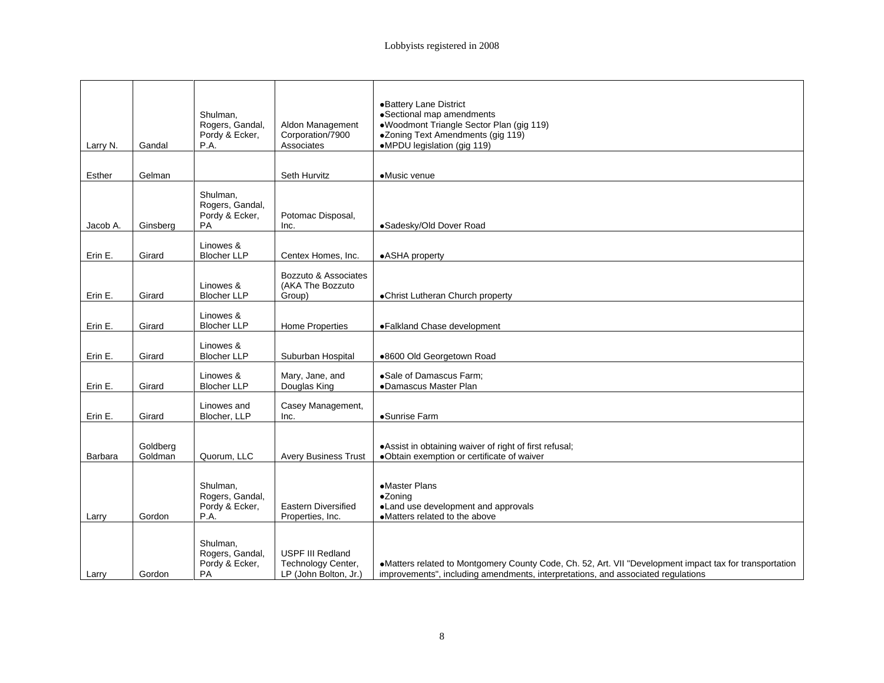|          |                     |                                               |                                         | •Battery Lane District                                                                                                                                                                                                            |
|----------|---------------------|-----------------------------------------------|-----------------------------------------|-----------------------------------------------------------------------------------------------------------------------------------------------------------------------------------------------------------------------------------|
|          |                     |                                               |                                         |                                                                                                                                                                                                                                   |
|          |                     | Shulman,<br>Rogers, Gandal,                   | Aldon Management                        | ●Sectional map amendments<br>●Woodmont Triangle Sector Plan (gig 119)                                                                                                                                                             |
|          |                     | Pordy & Ecker,<br>P.A.                        | Corporation/7900<br>Associates          | ●Zoning Text Amendments (gig 119)<br>●MPDU legislation (gig 119)                                                                                                                                                                  |
| Larry N. | Gandal              |                                               |                                         |                                                                                                                                                                                                                                   |
|          |                     |                                               |                                         |                                                                                                                                                                                                                                   |
| Esther   | Gelman              |                                               | Seth Hurvitz                            | •Music venue                                                                                                                                                                                                                      |
|          |                     |                                               |                                         |                                                                                                                                                                                                                                   |
|          |                     | Shulman,                                      |                                         |                                                                                                                                                                                                                                   |
|          |                     | Rogers, Gandal,<br>Pordy & Ecker,             | Potomac Disposal,                       |                                                                                                                                                                                                                                   |
| Jacob A. | Ginsberg            | PA                                            | Inc.                                    | ·Sadesky/Old Dover Road                                                                                                                                                                                                           |
|          |                     |                                               |                                         |                                                                                                                                                                                                                                   |
| Erin E.  |                     | Linowes &<br>Blocher LLP                      | Centex Homes, Inc.                      | •ASHA property                                                                                                                                                                                                                    |
|          | Girard              |                                               |                                         |                                                                                                                                                                                                                                   |
|          |                     |                                               | Bozzuto & Associates                    |                                                                                                                                                                                                                                   |
|          |                     | Linowes &                                     | (AKA The Bozzuto<br>Group)              |                                                                                                                                                                                                                                   |
| Erin E.  | Girard              | <b>Blocher LLP</b>                            |                                         | •Christ Lutheran Church property                                                                                                                                                                                                  |
|          |                     | Linowes &                                     |                                         |                                                                                                                                                                                                                                   |
| Erin E.  | Girard              | <b>Blocher LLP</b>                            | Home Properties                         | •Falkland Chase development                                                                                                                                                                                                       |
|          |                     |                                               |                                         |                                                                                                                                                                                                                                   |
|          |                     | Linowes &                                     |                                         |                                                                                                                                                                                                                                   |
| Erin E.  | Girard              | <b>Blocher LLP</b>                            | Suburban Hospital                       | ●8600 Old Georgetown Road                                                                                                                                                                                                         |
|          |                     | Linowes &                                     |                                         |                                                                                                                                                                                                                                   |
| Erin E.  | Girard              | Blocher LLP                                   | Mary, Jane, and<br>Douglas King         | Sale of Damascus Farm;<br>• Damascus Master Plan                                                                                                                                                                                  |
|          |                     |                                               |                                         |                                                                                                                                                                                                                                   |
| Erin E.  | Girard              | Linowes and<br>Blocher, LLP                   | Casey Management,                       | •Sunrise Farm                                                                                                                                                                                                                     |
|          |                     |                                               |                                         |                                                                                                                                                                                                                                   |
|          |                     |                                               |                                         |                                                                                                                                                                                                                                   |
|          | Goldberg<br>Goldman |                                               |                                         | ● Assist in obtaining waiver of right of first refusal;                                                                                                                                                                           |
| Barbara  |                     | Quorum, LLC                                   |                                         | Avery Business Trust   .Obtain exemption or certificate of waiver                                                                                                                                                                 |
|          |                     |                                               |                                         |                                                                                                                                                                                                                                   |
|          |                     | Shulman,<br>Rogers, Gandal,<br>Pordy & Ecker, |                                         | •Master Plans                                                                                                                                                                                                                     |
|          |                     |                                               |                                         | •Zoning                                                                                                                                                                                                                           |
|          | Gordon              | $P_A$                                         | Eastern Diversified<br>Properties, Inc. | . Land use development and approvals<br>•Matters related to the above                                                                                                                                                             |
| Larry    |                     |                                               |                                         |                                                                                                                                                                                                                                   |
|          |                     |                                               |                                         |                                                                                                                                                                                                                                   |
|          |                     | Shulman,<br>Rogers, Gandal,                   | USPF III Redland                        |                                                                                                                                                                                                                                   |
|          |                     | Pordy & Ecker,                                |                                         |                                                                                                                                                                                                                                   |
| Larry    | Gordon              | PA                                            |                                         | Technology Center,<br>Natters related to Montgomery County Code, Ch. 52, Art. VII "Development impact tax for transportation<br>LP (John Bolton, Jr.) improvements", including amendments, interpretations, and associated regula |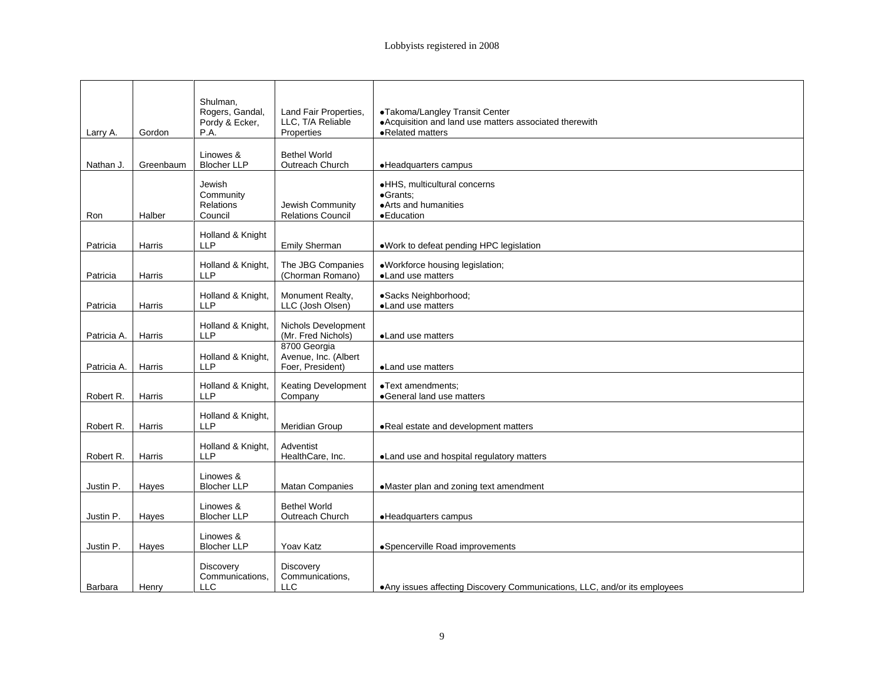|                      |                     | Shulman,                    |                                                             |                                                                            |
|----------------------|---------------------|-----------------------------|-------------------------------------------------------------|----------------------------------------------------------------------------|
|                      |                     | Rogers, Gandal,             | Land Fair Properties,                                       | •Takoma/Langley Transit Center                                             |
|                      |                     | Pordy & Ecker,              | LLC, T/A Reliable                                           | • Acquisition and land use matters associated therewith                    |
| Larry A. Gordon      |                     | P.A.                        | Properties                                                  | ·Related matters                                                           |
|                      |                     |                             |                                                             |                                                                            |
|                      |                     | Linowes &                   | <b>Bethel World</b>                                         |                                                                            |
|                      | Nathan J. Greenbaum | Blocher LLP                 | Outreach Church                                             | ·Headquarters campus                                                       |
|                      |                     | Jewish                      |                                                             | ·HHS, multicultural concerns                                               |
|                      |                     | Community                   |                                                             | ·Grants;                                                                   |
|                      |                     | Relations                   | Jewish Community                                            | • Arts and humanities                                                      |
| Ron                  | Halber              | Council                     | Relations Council                                           | <b>•Education</b>                                                          |
|                      |                     |                             |                                                             |                                                                            |
| Patricia             | <b>Harris</b>       | Holland & Knight<br>LLP     | Emily Sherman                                               | . Work to defeat pending HPC legislation                                   |
|                      |                     |                             |                                                             |                                                                            |
|                      |                     |                             | Holland & Knight, The JBG Companies<br>LLP (Chorman Romano) | . Workforce housing legislation;                                           |
| Patricia             | <b>Harris</b>       |                             |                                                             | ·Land use matters                                                          |
|                      |                     |                             | Holland & Knight,   Monument Realty,                        | ·Sacks Neighborhood;                                                       |
| Patricia             | Harris              | <b>LLP</b>                  | LLC (Josh Olsen)                                            | •Land use matters                                                          |
|                      |                     |                             |                                                             |                                                                            |
|                      |                     |                             | Holland & Knight, Nichols Development                       |                                                                            |
| Patricia A.   Harris |                     | <b>LLP</b>                  | (Mr. Fred Nichols)                                          | ·Land use matters                                                          |
|                      |                     |                             | 8700 Georgia<br>Holland & Knight, Avenue, Inc. (Albert      |                                                                            |
| Patricia A. Harris   |                     | IIP.                        | Foer, President)                                            | •Land use matters                                                          |
|                      |                     |                             |                                                             |                                                                            |
|                      |                     |                             | Holland & Knight,   Keating Development                     | •Text amendments;                                                          |
| Robert R.   Harris   |                     | <b>LLP</b>                  | Company                                                     | •General land use matters                                                  |
|                      |                     | Holland & Knight,           |                                                             |                                                                            |
| Robert R.   Harris   |                     | <b>LLP</b>                  | Meridian Group                                              | . Real estate and development matters                                      |
|                      |                     |                             |                                                             |                                                                            |
|                      |                     | Holland & Knight, Adventist |                                                             |                                                                            |
| Robert R.   Harris   |                     | LLP                         | HealthCare, Inc.                                            | . Land use and hospital regulatory matters                                 |
|                      |                     | Linowes &                   |                                                             |                                                                            |
| Justin P.   Hayes    |                     | <b>Blocher LLP</b>          | Matan Companies                                             | •Master plan and zoning text amendment                                     |
|                      |                     |                             |                                                             |                                                                            |
|                      |                     | Linowes &                   | <b>Bethel World</b>                                         |                                                                            |
| Justin P.   Hayes    |                     | <b>Blocher LLP</b>          | Outreach Church                                             | ·Headquarters campus                                                       |
|                      |                     | Linowes &                   |                                                             |                                                                            |
| Justin P. Hayes      |                     | <b>Blocher LLP</b>          | <b>Yoav Katz</b>                                            | •Spencerville Road improvements                                            |
|                      |                     |                             |                                                             |                                                                            |
|                      |                     | Discovery                   | Discovery                                                   |                                                                            |
|                      |                     |                             | Communications, Communications,                             |                                                                            |
| Barbara   Henry      |                     | $\sqcup$ C                  | <b>LLC</b>                                                  | . Any issues affecting Discovery Communications, LLC, and/or its employees |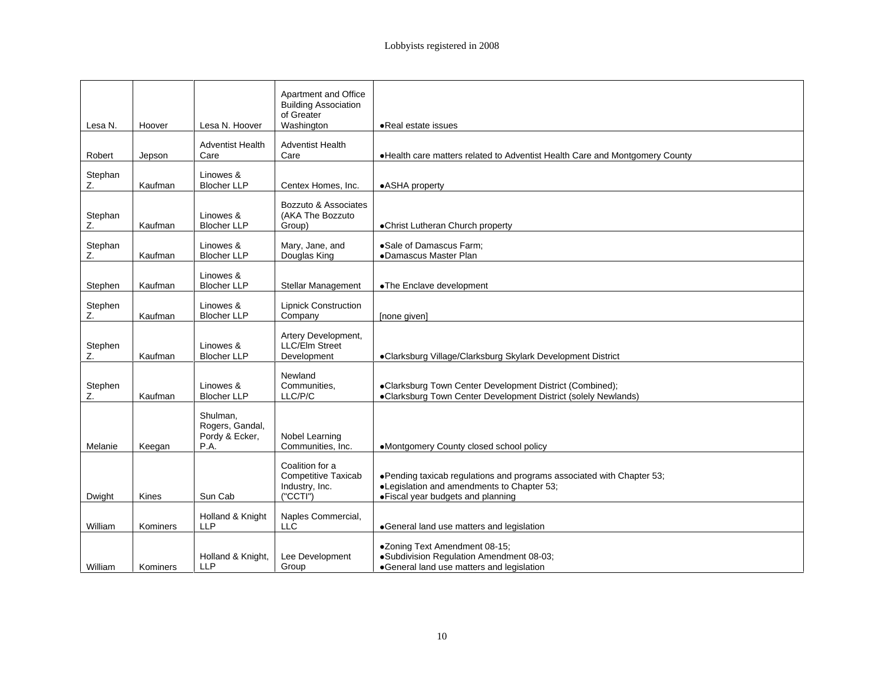|         |                  |                                   | Apartment and Office                     |                                                                                  |
|---------|------------------|-----------------------------------|------------------------------------------|----------------------------------------------------------------------------------|
|         |                  |                                   | <b>Building Association</b>              |                                                                                  |
| Lesa N. | Hoover           | Lesa N. Hoover                    | of Greater<br>Washington                 | • Real estate issues                                                             |
|         |                  |                                   |                                          |                                                                                  |
| Robert  | Jepson           | <b>Adventist Health</b><br>Care   | <b>Adventist Health</b><br>Care          | . Health care matters related to Adventist Health Care and Montgomery County     |
|         |                  |                                   |                                          |                                                                                  |
| Stephan | Kaufman          | Linowes &<br><b>Blocher LLP</b>   | Centex Homes, Inc.   .ASHA property      |                                                                                  |
|         |                  |                                   |                                          |                                                                                  |
| Stephan |                  | Linowes &                         | Bozzuto & Associates<br>(AKA The Bozzuto |                                                                                  |
|         | Kaufman          | <b>Blocher LLP</b>                | Group)                                   | •Christ Lutheran Church property                                                 |
| Stephan |                  | Linowes &                         | Mary, Jane, and                          | ·Sale of Damascus Farm;                                                          |
|         | Kaufman          | <b>Blocher LLP</b>                | Douglas King                             | •Damascus Master Plan                                                            |
|         |                  | Linowes &                         |                                          |                                                                                  |
| Stephen | Kaufman          | <b>Blocher LLP</b>                |                                          | Stellar Management   • The Enclave development                                   |
| Stephen |                  | Linowes &                         | <b>Lipnick Construction</b>              |                                                                                  |
|         | Kaufman          | <b>Blocher LLP</b>                | Company                                  | [none given]                                                                     |
|         |                  |                                   | Artery Development,                      |                                                                                  |
| Stephen | Kaufman          | Linowes &<br><b>Blocher LLP</b>   | LLC/Elm Street<br>Development            | ·Clarksburg Village/Clarksburg Skylark Development District                      |
|         |                  |                                   |                                          |                                                                                  |
| Stephen |                  | Linowes &                         | Newland<br>Communities,                  | ·Clarksburg Town Center Development District (Combined);                         |
|         | Kaufman          | <b>Blocher LLP</b>                | LLC/P/C                                  | •Clarksburg Town Center Development District (solely Newlands)                   |
|         |                  | Shulman,                          |                                          |                                                                                  |
|         |                  | Rogers, Gandal,<br>Pordy & Ecker, | Nobel Learning                           |                                                                                  |
| Melanie | Keegan           | P.A.                              | Communities, Inc.                        | •Montgomery County closed school policy                                          |
|         |                  |                                   | Coalition for a                          |                                                                                  |
|         |                  |                                   | <b>Competitive Taxicab</b>               | . Pending taxicab regulations and programs associated with Chapter 53;           |
| Dwight  | Kines            | Sun Cab                           | Industry, Inc.<br>("CCTI")               | •Legislation and amendments to Chapter 53;<br>· Fiscal year budgets and planning |
|         |                  |                                   |                                          |                                                                                  |
| William | Kominers         | Holland & Knight<br><b>LLP</b>    | Naples Commercial,<br>LLC                | ·General land use matters and legislation                                        |
|         |                  |                                   |                                          |                                                                                  |
|         |                  |                                   | Holland & Knight, Lee Development        | •Zoning Text Amendment 08-15;<br>·Subdivision Regulation Amendment 08-03;        |
|         | William Kominers | LLP                               | Group                                    | ·General land use matters and legislation                                        |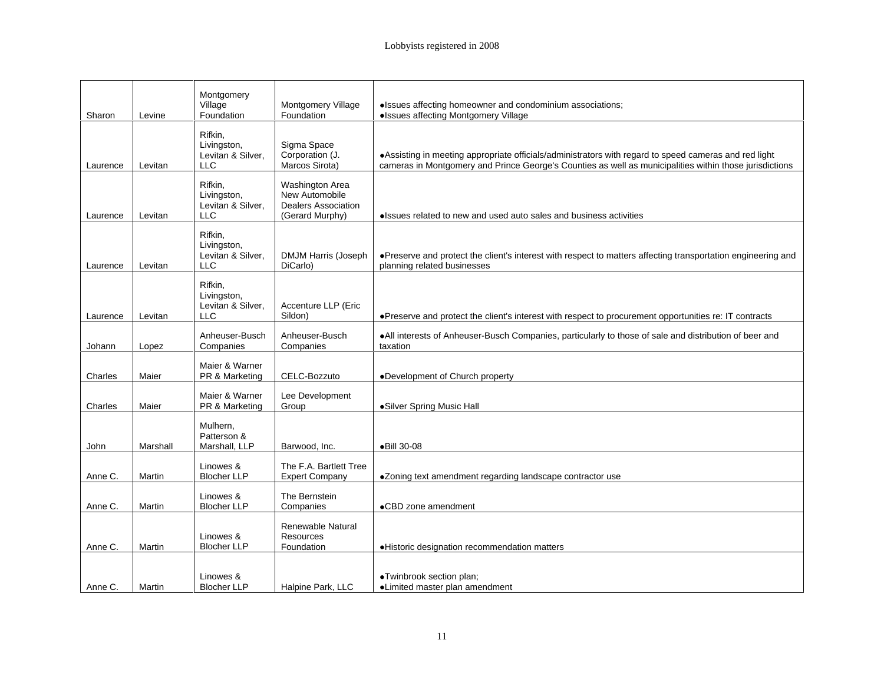|                    |          | Montgomery                                                |                                                                                    |                                                                                                                                                                                                                |
|--------------------|----------|-----------------------------------------------------------|------------------------------------------------------------------------------------|----------------------------------------------------------------------------------------------------------------------------------------------------------------------------------------------------------------|
| Sharon             | Levine   | Village<br>Foundation                                     | Montgomery Village<br>Foundation                                                   | ·Issues affecting homeowner and condominium associations;<br>• Issues affecting Montgomery Village                                                                                                             |
| Laurence Levitan   |          | Rifkin,<br>Livingston,<br>Levitan & Silver,<br><b>LLC</b> | Sigma Space<br>Corporation (J.<br>Marcos Sirota)                                   | • Assisting in meeting appropriate officials/administrators with regard to speed cameras and red light cameras in Montgomery and Prince George's Counties as well as municipalities within those jurisdictions |
| Laurence Levitan   |          | Rifkin,<br>Livingston,<br>Levitan & Silver,<br><b>LLC</b> | Washington Area<br>New Automobile<br><b>Dealers Association</b><br>(Gerard Murphy) | • Issues related to new and used auto sales and business activities                                                                                                                                            |
| Laurence Levitan   |          | Rifkin,<br>Livingston,<br>Levitan & Silver,<br>LLC        | <b>DMJM Harris (Joseph</b><br>DiCarlo)                                             | · Preserve and protect the client's interest with respect to matters affecting transportation engineering and<br>planning related businesses                                                                   |
| Laurence   Levitan |          | Rifkin,<br>Livingston,<br>Levitan & Silver,<br><b>LLC</b> | Accenture LLP (Eric<br>Sildon)                                                     | • Preserve and protect the client's interest with respect to procurement opportunities re: IT contracts                                                                                                        |
| Johann             | Lopez    | Anheuser-Busch<br>Companies                               | Anheuser-Busch<br>Companies                                                        | . All interests of Anheuser-Busch Companies, particularly to those of sale and distribution of beer and<br>taxation                                                                                            |
| Charles            | Maier    | Maier & Warner<br>PR & Marketing                          | CELC-Bozzuto                                                                       | ·Development of Church property                                                                                                                                                                                |
| Charles            | Maier    | Maier & Warner<br>PR & Marketing                          | Lee Development<br>Group                                                           | •Silver Spring Music Hall                                                                                                                                                                                      |
| John               | Marshall | Mulhern,<br>Patterson &<br>Marshall, LLP                  | Barwood, Inc.                                                                      | ●Bill 30-08                                                                                                                                                                                                    |
| Anne C.            | Martin   | Linowes &<br><b>Blocher LLP</b>                           | The F.A. Bartlett Tree<br><b>Expert Company</b>                                    | •Zoning text amendment regarding landscape contractor use                                                                                                                                                      |
| Anne C.            | Martin   | Linowes &<br><b>Blocher LLP</b>                           | The Bernstein<br>Companies                                                         | •CBD zone amendment                                                                                                                                                                                            |
| Anne C.            | Martin   | Linowes &<br><b>Blocher LLP</b>                           | Renewable Natural<br>Resources<br>Foundation                                       | ·Historic designation recommendation matters                                                                                                                                                                   |
| Anne C.   Martin   |          | Linowes &<br><b>Blocher LLP</b>                           | Halpine Park, LLC                                                                  | ·Twinbrook section plan;<br>•Limited master plan amendment                                                                                                                                                     |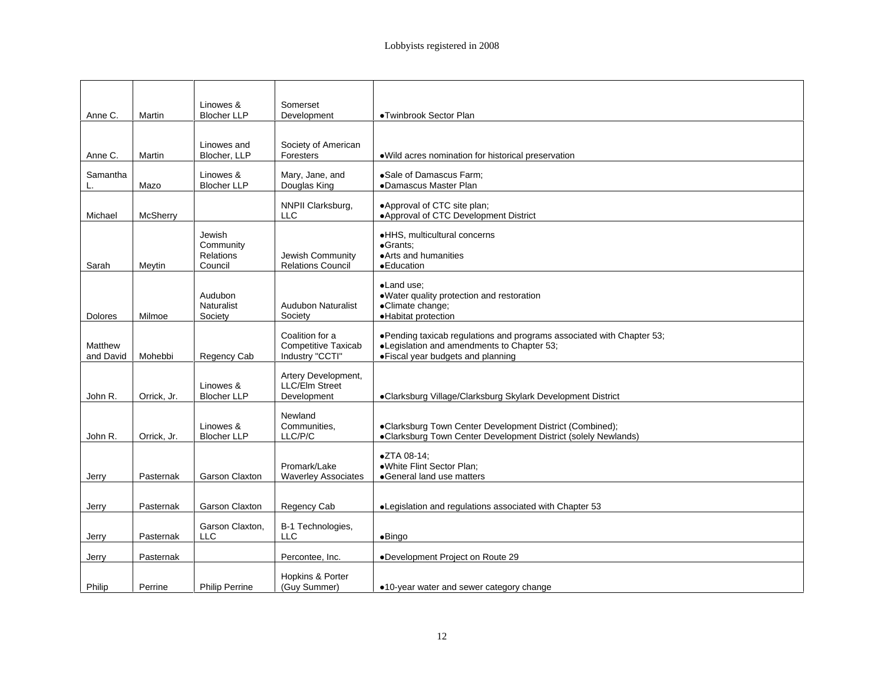| Anne C.           | Martin      | Linowes &<br><b>Blocher LLP</b> | Somerset<br>Development                    | ·Twinbrook Sector Plan                                                                                                |
|-------------------|-------------|---------------------------------|--------------------------------------------|-----------------------------------------------------------------------------------------------------------------------|
|                   |             |                                 |                                            |                                                                                                                       |
|                   |             |                                 |                                            |                                                                                                                       |
|                   |             | Linowes and                     | Society of American<br>Foresters           |                                                                                                                       |
| Anne C.           | Martin      | Blocher, LLP                    |                                            | . Wild acres nomination for historical preservation                                                                   |
| Samantha          |             | Linowes &                       | Mary, Jane, and                            | ·Sale of Damascus Farm;                                                                                               |
|                   | Mazo        | <b>Blocher LLP</b>              | Douglas King                               | •Damascus Master Plan                                                                                                 |
|                   |             |                                 |                                            |                                                                                                                       |
| Michael           | McSherry    |                                 | NNPII Clarksburg,<br><b>LLC</b>            | .Approval of CTC site plan;<br>•Approval of CTC Development District                                                  |
|                   |             |                                 |                                            |                                                                                                                       |
|                   |             | Jewish                          |                                            | ·HHS, multicultural concerns                                                                                          |
|                   |             | Community                       |                                            | •Grants;                                                                                                              |
| Sarah             |             | Relations<br>Council            | Jewish Community<br>Relations Council      | • Arts and humanities<br>·Education                                                                                   |
|                   | Meytin      |                                 |                                            |                                                                                                                       |
|                   |             |                                 |                                            | •Land use;                                                                                                            |
|                   |             | Audubon                         |                                            | . Water quality protection and restoration                                                                            |
|                   | Milmoe      | Naturalist<br>Society           | Audubon Naturalist<br>Society              | ·Climate change;<br>·Habitat protection                                                                               |
| Dolores           |             |                                 |                                            |                                                                                                                       |
|                   |             |                                 | Coalition for a                            |                                                                                                                       |
| Matthew           |             |                                 | Competitive Taxicab                        | • Pending taxicab regulations and programs associated with Chapter 53;<br>● Legislation and amendments to Chapter 53; |
| and David Mohebbi |             | Regency Cab                     | Industry "CCTI"                            | • Fiscal year budgets and planning                                                                                    |
|                   |             |                                 | Artery Development,                        |                                                                                                                       |
|                   |             | Linowes &                       | LLC/Elm Street                             |                                                                                                                       |
| John R.           | Orrick, Jr. | Blocher LLP                     | Development                                | ·Clarksburg Village/Clarksburg Skylark Development District                                                           |
|                   |             |                                 |                                            |                                                                                                                       |
|                   |             | Linowes &                       | Newland<br>Communities,                    | ·Clarksburg Town Center Development District (Combined);                                                              |
| John R.           | Orrick, Jr. | <b>Blocher LLP</b>              | LLC/P/C                                    | •Clarksburg Town Center Development District (solely Newlands)                                                        |
|                   |             |                                 |                                            |                                                                                                                       |
|                   |             |                                 |                                            | ●ZTA 08-14;                                                                                                           |
|                   |             | <b>Garson Claxton</b>           | Promark/Lake<br><b>Waverley Associates</b> | .White Flint Sector Plan;<br>General land use matters                                                                 |
| Jerry             | Pasternak   |                                 |                                            |                                                                                                                       |
|                   |             |                                 |                                            |                                                                                                                       |
| <b>Jerry</b>      | Pasternak   | <b>Garson Claxton</b>           | Regency Cab                                | •Legislation and regulations associated with Chapter 53                                                               |
|                   |             |                                 |                                            |                                                                                                                       |
|                   | Pasternak   | Garson Claxton,<br>LLC          | B-1 Technologies,<br><b>LLC</b>            | $\bullet$ Bingo                                                                                                       |
| <u>Jerry</u>      |             |                                 |                                            |                                                                                                                       |
| Jerry             | Pasternak   |                                 | Percontee, Inc.                            | •Development Project on Route 29                                                                                      |
|                   |             |                                 |                                            |                                                                                                                       |
|                   | Perrine     | <b>Philip Perrine</b>           | Hopkins & Porter                           |                                                                                                                       |
| Philip            |             |                                 | (Guy Summer)                               | . .10-year water and sewer category change                                                                            |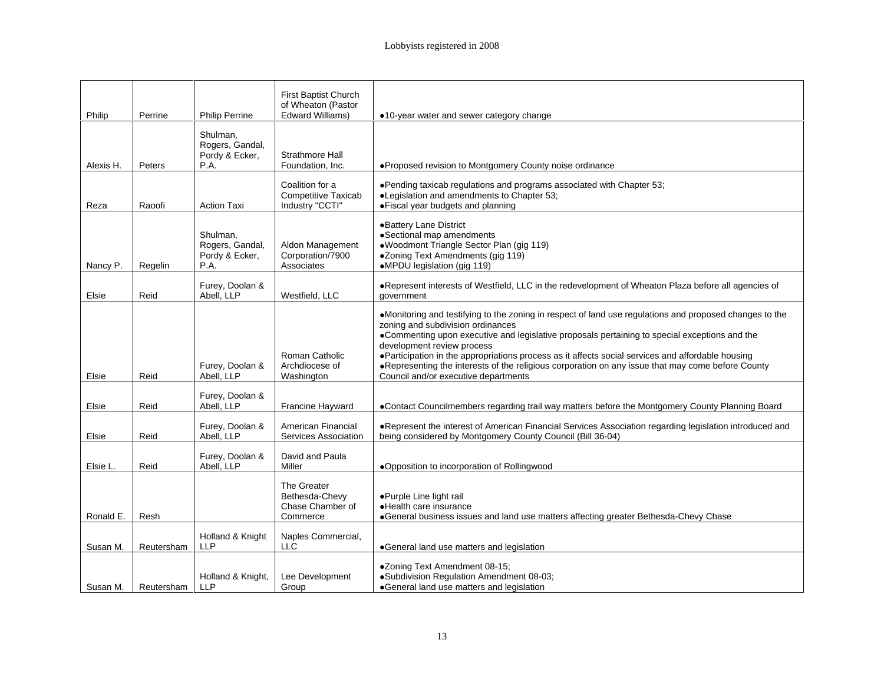| Philip<br>Alexis H.<br>Peters<br>Reza<br>Nancy P. | Perrine<br>Raoofi<br>Regelin | <b>Philip Perrine</b><br>Shulman,<br>Rogers, Gandal,<br>Pordy & Ecker,<br>P.A.<br><b>Action Taxi</b><br>Shulman,<br>Rogers, Gandal,<br>Pordy & Ecker,<br><b>P.A.</b> | First Baptist Church<br>of Wheaton (Pastor<br>Edward Williams)<br>Strathmore Hall<br>Foundation, Inc.<br>Coalition for a<br><b>Competitive Taxicab</b><br>Industry "CCTI"<br>Aldon Management<br>Corporation/7900 | •10-year water and sewer category change<br>·Proposed revision to Montgomery County noise ordinance<br>. Pending taxicab regulations and programs associated with Chapter 53;<br>•Legislation and amendments to Chapter 53;<br>· Fiscal year budgets and planning<br>•Battery Lane District<br>·Sectional map amendments<br>·Woodmont Triangle Sector Plan (gig 119)                                                                                                                                                            |
|---------------------------------------------------|------------------------------|----------------------------------------------------------------------------------------------------------------------------------------------------------------------|-------------------------------------------------------------------------------------------------------------------------------------------------------------------------------------------------------------------|---------------------------------------------------------------------------------------------------------------------------------------------------------------------------------------------------------------------------------------------------------------------------------------------------------------------------------------------------------------------------------------------------------------------------------------------------------------------------------------------------------------------------------|
|                                                   |                              |                                                                                                                                                                      |                                                                                                                                                                                                                   |                                                                                                                                                                                                                                                                                                                                                                                                                                                                                                                                 |
|                                                   |                              |                                                                                                                                                                      |                                                                                                                                                                                                                   |                                                                                                                                                                                                                                                                                                                                                                                                                                                                                                                                 |
|                                                   |                              |                                                                                                                                                                      |                                                                                                                                                                                                                   |                                                                                                                                                                                                                                                                                                                                                                                                                                                                                                                                 |
|                                                   |                              |                                                                                                                                                                      |                                                                                                                                                                                                                   |                                                                                                                                                                                                                                                                                                                                                                                                                                                                                                                                 |
|                                                   |                              |                                                                                                                                                                      |                                                                                                                                                                                                                   |                                                                                                                                                                                                                                                                                                                                                                                                                                                                                                                                 |
|                                                   |                              |                                                                                                                                                                      | Associates                                                                                                                                                                                                        | ·Zoning Text Amendments (gig 119)<br>•MPDU legislation (gig 119)                                                                                                                                                                                                                                                                                                                                                                                                                                                                |
| Reid<br>Elsie                                     |                              | Furey, Doolan &<br>Abell. LLP                                                                                                                                        | Westfield, LLC                                                                                                                                                                                                    | . Represent interests of Westfield, LLC in the redevelopment of Wheaton Plaza before all agencies of<br>aovernment                                                                                                                                                                                                                                                                                                                                                                                                              |
| Elsie<br>Reid                                     |                              | Furey, Doolan &<br>Abell, LLP                                                                                                                                        | Roman Catholic<br>Archdiocese of<br>Washington                                                                                                                                                                    | •Monitoring and testifying to the zoning in respect of land use regulations and proposed changes to the<br>zoning and subdivision ordinances<br>•Commenting upon executive and legislative proposals pertaining to special exceptions and the<br>development review process<br>• Participation in the appropriations process as it affects social services and affordable housing<br>. Representing the interests of the religious corporation on any issue that may come before County<br>Council and/or executive departments |
| Reid<br>Elsie                                     |                              | Furey, Doolan &<br>Abell. LLP                                                                                                                                        | Francine Hayward                                                                                                                                                                                                  | •Contact Councilmembers regarding trail way matters before the Montgomery County Planning Board                                                                                                                                                                                                                                                                                                                                                                                                                                 |
| Elsie<br>Reid                                     |                              | Furey, Doolan &<br>Abell, LLP                                                                                                                                        | American Financial<br>Services Association                                                                                                                                                                        | . Represent the interest of American Financial Services Association regarding legislation introduced and<br>being considered by Montgomery County Council (Bill 36-04)                                                                                                                                                                                                                                                                                                                                                          |
| Reid<br>Elsie L.                                  |                              | Furey, Doolan & David and Paula<br>Abell, LLP                                                                                                                        | Miller                                                                                                                                                                                                            | . Opposition to incorporation of Rollingwood                                                                                                                                                                                                                                                                                                                                                                                                                                                                                    |
| Ronald E. Resh                                    |                              |                                                                                                                                                                      | The Greater<br>Bethesda-Chevy<br>Chase Chamber of<br>Commerce                                                                                                                                                     | ●Purple Line light rail<br>·Health care insurance<br>•General business issues and land use matters affecting greater Bethesda-Chevy Chase                                                                                                                                                                                                                                                                                                                                                                                       |
| Susan M.   Reutersham                             |                              |                                                                                                                                                                      | Holland & Knight   Naples Commercial<br>LLC.                                                                                                                                                                      | •General land use matters and legislation                                                                                                                                                                                                                                                                                                                                                                                                                                                                                       |
| Susan M. Reutersham                               |                              |                                                                                                                                                                      | Holland & Knight, Lee Development<br>Group                                                                                                                                                                        | ●Zoning Text Amendment 08-15;<br>·Subdivision Regulation Amendment 08-03;<br>•General land use matters and legislation                                                                                                                                                                                                                                                                                                                                                                                                          |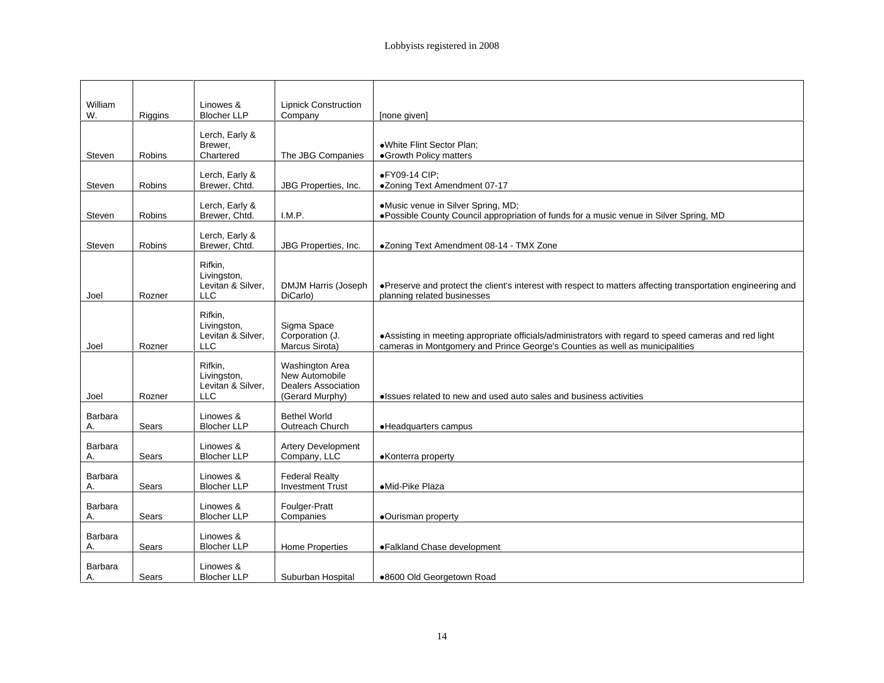| William | Riggins      | Linowes &<br><b>Blocher LLP</b> | Lipnick Construction<br>Company    | [none given]                                                                                                                                                                        |
|---------|--------------|---------------------------------|------------------------------------|-------------------------------------------------------------------------------------------------------------------------------------------------------------------------------------|
|         |              |                                 |                                    |                                                                                                                                                                                     |
|         |              | Lerch, Early &                  |                                    |                                                                                                                                                                                     |
| Steven  | Robins       | Brewer,<br>Chartered            | The JBG Companies                  | ·White Flint Sector Plan;<br>•Growth Policy matters                                                                                                                                 |
|         |              |                                 |                                    |                                                                                                                                                                                     |
|         |              | Lerch, Early &                  |                                    | ●FY09-14 CIP;                                                                                                                                                                       |
| Steven  | Robins       | Brewer, Chtd.                   |                                    | JBG Properties, Inc.   .Zoning Text Amendment 07-17                                                                                                                                 |
|         |              | Lerch, Early &                  |                                    | •Music venue in Silver Spring, MD;                                                                                                                                                  |
| Steven  | Robins       | Brewer, Chtd.                   | I.M.P.                             | ● Possible County Council appropriation of funds for a music venue in Silver Spring, MD                                                                                             |
|         |              |                                 |                                    |                                                                                                                                                                                     |
| Steven  | Robins       | Lerch, Early &<br>Brewer, Chtd. |                                    | JBG Properties, Inc.   .Zoning Text Amendment 08-14 - TMX Zone                                                                                                                      |
|         |              |                                 |                                    |                                                                                                                                                                                     |
|         |              | Rifkin,<br>Livingston,          |                                    |                                                                                                                                                                                     |
|         |              | Levitan & Silver,               |                                    |                                                                                                                                                                                     |
| Joel    | Rozner       | <b>LLC</b>                      |                                    | DMJM Harris (Joseph   • Preserve and protect the client's interest with respect to matters affecting transportation engineering and<br>DiCarlo) planning related businesses         |
|         |              | Rifkin,                         |                                    |                                                                                                                                                                                     |
|         |              | Livingston,                     | Sigma Space                        |                                                                                                                                                                                     |
|         |              | Levitan & Silver,               |                                    |                                                                                                                                                                                     |
| Joel    | Rozner       | LLC                             | Corporation (J.<br>Marcus Sirota)  | • Assisting in meeting appropriate officials/administrators with regard to speed cameras and red light cameras in Montgomery and Prince George's Counties as well as municipalities |
|         |              | Rifkin,                         |                                    |                                                                                                                                                                                     |
|         |              | Livingston                      | Washington Area<br>New Automobile  |                                                                                                                                                                                     |
|         |              | Levitan & Silver,               | <b>Dealers Association</b>         |                                                                                                                                                                                     |
| Joel    | Rozner       | <b>LLC</b>                      | (Gerard Murphy)                    | • Issues related to new and used auto sales and business activities                                                                                                                 |
| Barbara |              | Linowes &                       | <b>Bethel World</b>                |                                                                                                                                                                                     |
|         | Sears        | <b>Blocher LLP</b>              | Outreach Church                    | • Headquarters campus                                                                                                                                                               |
|         |              |                                 |                                    |                                                                                                                                                                                     |
| Barbara | Sears        | Linowes &<br><b>Blocher LLP</b> | Artery Development<br>Company, LLC | •Konterra property                                                                                                                                                                  |
|         |              |                                 |                                    |                                                                                                                                                                                     |
| Barbara |              | Linowes &                       | <b>Federal Realty</b>              |                                                                                                                                                                                     |
|         | Sears        | <b>Blocher LLP</b>              | <b>Investment Trust</b>            | ·Mid-Pike Plaza                                                                                                                                                                     |
| Barbara |              | Linowes &                       |                                    |                                                                                                                                                                                     |
|         | Sears        | <b>Blocher LLP</b>              | Foulger-Pratt<br>Companies         | •Ourisman property                                                                                                                                                                  |
| Barbara |              | Linowes &                       |                                    |                                                                                                                                                                                     |
|         | Sears        | <b>Blocher LLP</b>              | Home Properties                    | •Falkland Chase development                                                                                                                                                         |
|         |              |                                 |                                    |                                                                                                                                                                                     |
| Barbara | <b>Sears</b> | Linowes &<br><b>Blocher LLP</b> |                                    |                                                                                                                                                                                     |
|         |              |                                 |                                    | Suburban Hospital   .8600 Old Georgetown Road                                                                                                                                       |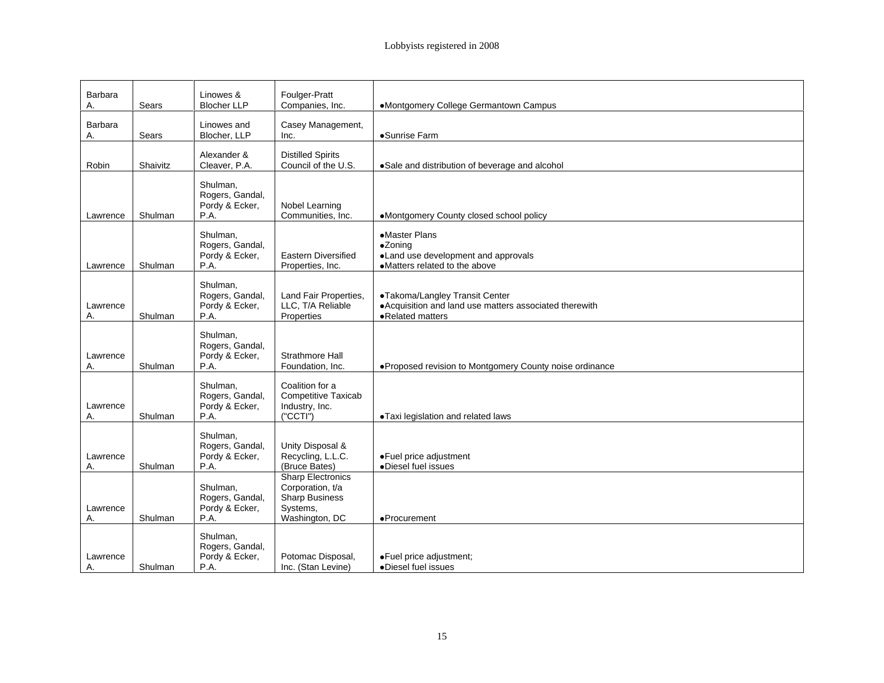| Barbara<br>Sears    | Linowes &<br>Blocher LLP                      | Foulger-Pratt<br>Companies, Inc.          |                                        | •Montgomery College Germantown Campus                    |
|---------------------|-----------------------------------------------|-------------------------------------------|----------------------------------------|----------------------------------------------------------|
|                     |                                               |                                           |                                        |                                                          |
| Barbara<br>Sears    | Linowes and<br>Blocher, LLP                   |                                           | Casey Management,                      | •Sunrise Farm                                            |
|                     |                                               |                                           |                                        |                                                          |
|                     | Alexander &                                   | Distilled Spirits<br>Council of the U.S.  |                                        |                                                          |
| Robin<br>Shaivitz   | Cleaver, P.A.                                 |                                           |                                        | Sale and distribution of beverage and alcohol            |
|                     | Shulman,<br>Rogers, Gandal,                   |                                           |                                        |                                                          |
|                     | Pordy & Ecker,                                | Nobel Learning                            |                                        |                                                          |
| Lawrence   Shulman  |                                               | Communities, Inc.                         |                                        | •Montgomery County closed school policy                  |
|                     |                                               |                                           |                                        | •Master Plans                                            |
|                     | Shulman,<br>Rogers, Gandal,                   |                                           |                                        | •Zoning                                                  |
|                     | Pordy & Ecker,                                | Eastern Diversified                       |                                        | •Land use development and approvals                      |
| Lawrence Shulman    |                                               | Properties, Inc.                          |                                        | •Matters related to the above                            |
|                     | Shulman,                                      |                                           |                                        | ●Takoma/Langley Transit Center                           |
| Lawrence            | Rogers, Gandal<br>Pordy & Ecker,              |                                           | Land Fair Properties,                  | • Acquisition and land use matters associated therewith  |
| Shulman             | PA                                            | LLC, T/A Reliable                         |                                        | •Related matters                                         |
|                     | Shulman,                                      |                                           |                                        |                                                          |
|                     | Rogers, Gandal,<br>Pordy & Ecker,             |                                           |                                        |                                                          |
| Lawrence<br>Shulman | P.A.                                          | Strathmore Hall<br>Foundation, Inc.       |                                        | ● Proposed revision to Montgomery County noise ordinance |
|                     |                                               |                                           |                                        |                                                          |
|                     | Shulman,<br>Rogers, Gandal,                   |                                           | Coalition for a<br>Competitive Taxicab |                                                          |
| Lawrence            | Pordy & Ecker,                                | Industry, Inc.                            |                                        |                                                          |
| Shulman             |                                               | ("CCTI")                                  |                                        | . Taxi legislation and related laws                      |
|                     |                                               |                                           |                                        |                                                          |
|                     | Shulman,<br>Rogers, Gandal,<br>Pordy & Ecker, |                                           |                                        |                                                          |
| Lawrence            |                                               | Unity Disposal &<br>Recycling, L.L.C.     |                                        | ● Fuel price adjustment                                  |
| Shulman             |                                               | (Bruce Bates)<br><b>Sharp Electronics</b> |                                        | Diesel fuel issues                                       |
|                     |                                               | Corporation, t/a                          |                                        |                                                          |
|                     | Shulman,<br>Rogers, Gandal,                   | Sharp Business                            |                                        |                                                          |
| Lawrence<br>Shulman | Pordy & Ecker,                                | Systems,<br>Washington, DC                |                                        | •Procurement                                             |
|                     |                                               |                                           |                                        |                                                          |
|                     | Shulman,<br>Rogers, Gandal                    |                                           |                                        |                                                          |
| Lawrence            | Pordy & Ecker,                                | Potomac Disposal,                         |                                        | ●Fuel price adjustment;<br>●Diesel fuel issues           |
| Shulman             | P.A                                           | Inc. (Stan Levine)                        |                                        |                                                          |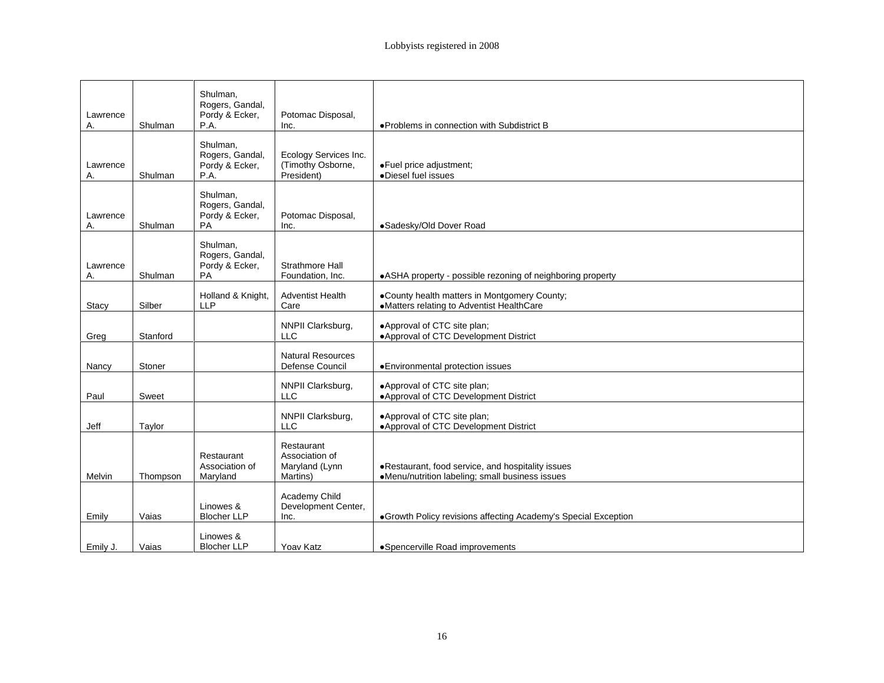|                |          | Shulman,                                                   |                                              |                                                                                                       |
|----------------|----------|------------------------------------------------------------|----------------------------------------------|-------------------------------------------------------------------------------------------------------|
| Lawrence       |          | Rogers, Gandal,<br>Pordy & Ecker,<br><b>P.A.</b>           | Potomac Disposal,                            | ● Problems in connection with Subdistrict B                                                           |
|                | Shulman  |                                                            | Inc.                                         |                                                                                                       |
| Lawrence       |          | Shulman,<br>Rogers, Gandal,<br>Pordy & Ecker,              | Ecology Services Inc.<br>(Timothy Osborne,   | ● Fuel price adjustment;                                                                              |
|                | Shulman  | P.A.                                                       | President)                                   | •Diesel fuel issues                                                                                   |
| Lawrence       | Shulman  | Shulman,<br>Rogers, Gandal,<br>Pordy & Ecker,              | Potomac Disposal,<br>Inc.                    | ·Sadesky/Old Dover Road                                                                               |
|                |          |                                                            |                                              |                                                                                                       |
| Lawrence       | Shulman  | Shulman,<br>Rogers, Gandal,<br>Pordy & Ecker,<br><b>PA</b> | Strathmore Hall<br>Foundation, Inc.          | . ASHA property - possible rezoning of neighboring property                                           |
|                |          |                                                            |                                              |                                                                                                       |
| Stacy          | Silber   | Holland & Knight,<br><b>LLP</b>                            | <b>Adventist Health</b><br>Care              | •County health matters in Montgomery County;<br>•Matters relating to Adventist HealthCare             |
| Greg           | Stanford |                                                            | NNPII Clarksburg,<br>LLC                     | . Approval of CTC site plan;<br>● Approval of CTC Development District                                |
| Nancy          | Stoner   |                                                            | <b>Natural Resources</b><br>Defense Council  | · Environmental protection issues                                                                     |
| Paul           | Sweet    |                                                            | NNPII Clarksburg,<br>LLC                     | .Approval of CTC site plan;<br>. Approval of CTC Development District                                 |
| Jeff           | Taylor   |                                                            | NNPII Clarksburg,<br>LLC                     | Approval of CTC site plan;<br>. Approval of CTC Development District                                  |
|                |          |                                                            | Restaurant                                   |                                                                                                       |
| Melvin         | Thompson | Restaurant<br>Association of<br>Maryland                   | Association of<br>Maryland (Lynn<br>Martins) | . Restaurant, food service, and hospitality issues<br>•Menu/nutrition labeling; small business issues |
|                |          | Linowes &                                                  | Academy Child<br>Development Center,         |                                                                                                       |
| <b>Emily</b>   | Vaias    | <b>Blocher LLP</b>                                         | Inc.                                         | Growth Policy revisions affecting Academy's Special Exception                                         |
|                |          | Linowes &                                                  |                                              |                                                                                                       |
| Emily J. Vaias |          | Blocher LLP                                                | Yoav Katz                                    | •Spencerville Road improvements                                                                       |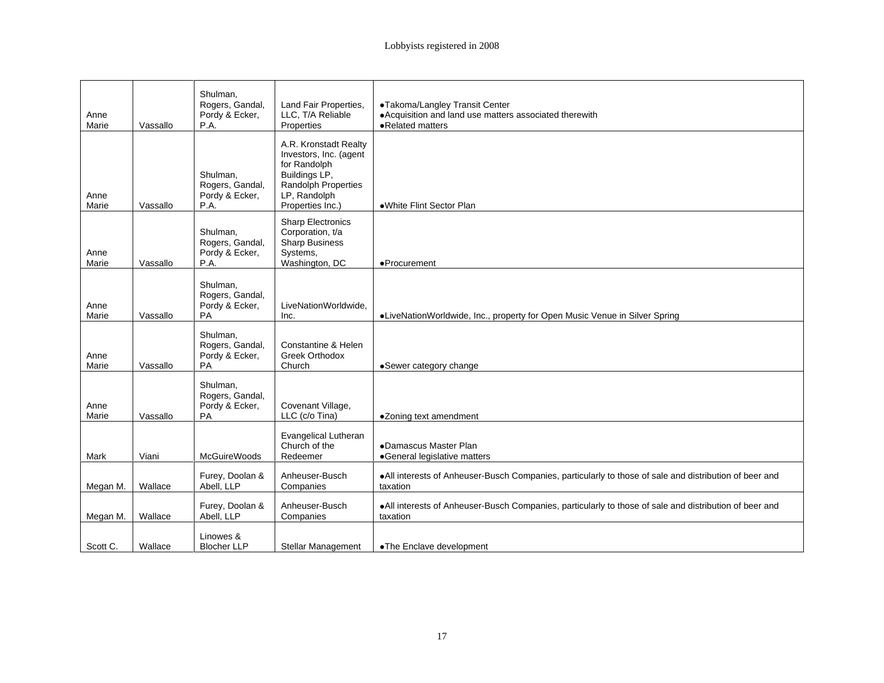|                    |                  | Shulman,<br>Rogers, Gandal,<br>Pordy & Ecker,              | Land Fair Properties,<br>LLC, T/A Reliable                                                                                                  | •Takoma/Langley Transit Center<br>• Acquisition and land use matters associated therewith                           |
|--------------------|------------------|------------------------------------------------------------|---------------------------------------------------------------------------------------------------------------------------------------------|---------------------------------------------------------------------------------------------------------------------|
| Anne<br>Marie      | Vassallo         | P.A.                                                       | Properties                                                                                                                                  | • Related matters                                                                                                   |
| Anne<br>Marie      | Vassallo         | Shulman,<br>Rogers, Gandal,<br>Pordy & Ecker,<br>P.A.      | A.R. Kronstadt Realty<br>Investors, Inc. (agent<br>for Randolph<br>Buildings LP,<br>Randolph Properties<br>LP, Randolph<br>Properties Inc.) | ·White Flint Sector Plan                                                                                            |
| Anne<br>Marie      | Vassallo         | Shulman,<br>Rogers, Gandal,<br>Pordy & Ecker,<br>P.A.      | <b>Sharp Electronics</b><br>Corporation, t/a<br>Sharp Business<br>Systems,<br>Washington, DC                                                | ·Procurement                                                                                                        |
| Anne<br>Marie      | Vassallo         | Shulman,<br>Rogers, Gandal,<br>Pordy & Ecker,<br><b>PA</b> | LiveNationWorldwide,<br>Inc.                                                                                                                | ·LiveNationWorldwide, Inc., property for Open Music Venue in Silver Spring                                          |
| Anne<br>Marie      | Vassallo         | Shulman,<br>Rogers, Gandal,<br>Pordy & Ecker,<br>PA        | Constantine & Helen<br>Greek Orthodox<br>Church                                                                                             | ·Sewer category change                                                                                              |
| Anne<br>Marie      | Vassallo         | Shulman,<br>Rogers, Gandal,<br>Pordy & Ecker,<br>PA        | Covenant Village,<br>LLC (c/o Tina)                                                                                                         | •Zoning text amendment                                                                                              |
| Mark               | Viani            | McGuireWoods                                               | <b>Evangelical Lutheran</b><br>Church of the<br>Redeemer                                                                                    | ·Damascus Master Plan<br>·General legislative matters                                                               |
|                    | Megan M. Wallace | Furey, Doolan &<br>Abell, LLP                              | Anheuser-Busch<br>Companies                                                                                                                 | . All interests of Anheuser-Busch Companies, particularly to those of sale and distribution of beer and<br>taxation |
|                    | Megan M. Wallace | Furey, Doolan &<br>Abell, LLP                              | Anheuser-Busch<br>Companies                                                                                                                 | . All interests of Anheuser-Busch Companies, particularly to those of sale and distribution of beer and<br>taxation |
| Scott C.   Wallace |                  | Linowes &<br><b>Blocher LLP</b>                            |                                                                                                                                             | Stellar Management   •The Enclave development                                                                       |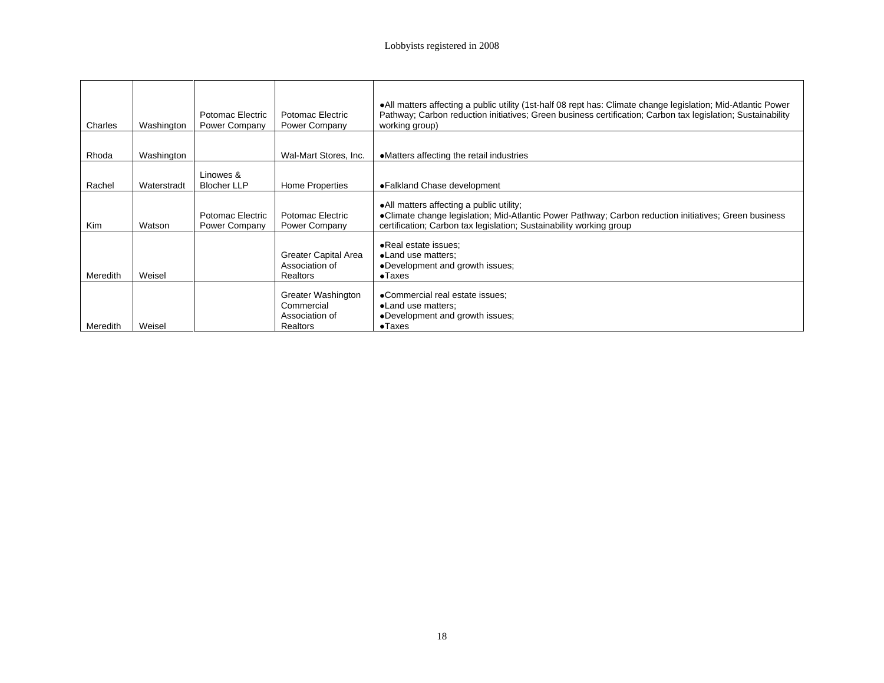|                 |             |                               |                                     | . All matters affecting a public utility (1st-half 08 rept has: Climate change legislation; Mid-Atlantic Power                |
|-----------------|-------------|-------------------------------|-------------------------------------|-------------------------------------------------------------------------------------------------------------------------------|
| Charles         | Washington  | Power Company   Power Company | Potomac Electric   Potomac Electric | Pathway; Carbon reduction initiatives; Green business certification; Carbon tax legislation; Sustainability<br>working group) |
| Rhoda           | Washington  |                               |                                     | Wal-Mart Stores, Inc.   ●Matters affecting the retail industries                                                              |
|                 |             | Linowes &                     |                                     |                                                                                                                               |
| Rachel          | Waterstradt | Blocher LLP                   | <b>Home Properties</b>              | ● Falkland Chase development                                                                                                  |
|                 |             |                               |                                     | All matters affecting a public utility;                                                                                       |
|                 |             |                               | Potomac Electric   Potomac Electric | · Climate change legislation; Mid-Atlantic Power Pathway; Carbon reduction initiatives; Green business                        |
| Kim             | Watson      | Power Company   Power Company |                                     | certification; Carbon tax legislation; Sustainability working group                                                           |
|                 |             |                               |                                     | •Real estate issues:                                                                                                          |
|                 |             |                               | <b>Greater Capital Area</b>         | •Land use matters;                                                                                                            |
|                 |             |                               | Association of                      | •Development and growth issues;                                                                                               |
| Meredith Weisel |             |                               | Realtors                            | $\bullet$ Taxes                                                                                                               |
|                 |             |                               | <b>Greater Washington</b>           | •Commercial real estate issues;                                                                                               |
|                 |             |                               | Commercial                          | •Land use matters;                                                                                                            |
|                 |             |                               | Association of                      | •Development and growth issues;                                                                                               |
| Meredith Weisel |             |                               | Realtors                            | $\bullet$ Taxes                                                                                                               |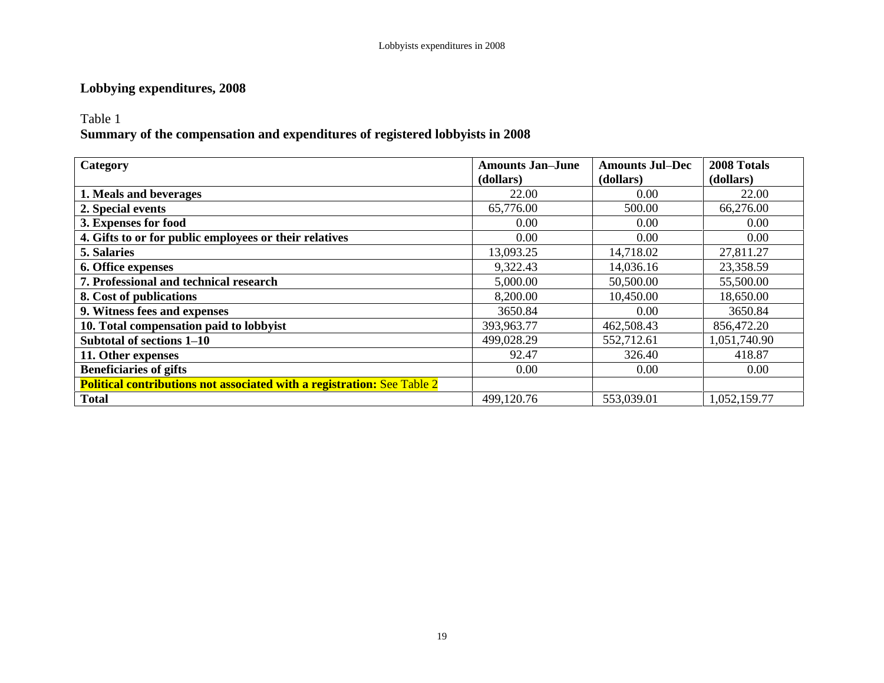## **Lobbying expenditures, 2008**

Table 1

## **Summary of the compensation and expenditures of registered lobbyists in 2008**

| Category                                                                       | <b>Amounts Jan-June</b> | <b>Amounts Jul-Dec</b> | 2008 Totals  |
|--------------------------------------------------------------------------------|-------------------------|------------------------|--------------|
|                                                                                | (dollars)               | (dollars)              | (dollars)    |
| 1. Meals and beverages                                                         | 22.00                   | $0.00\,$               | 22.00        |
| 2. Special events                                                              | 65,776.00               | 500.00                 | 66,276.00    |
| 3. Expenses for food                                                           | $0.00\,$                | $0.00\,$               | $0.00\,$     |
| 4. Gifts to or for public employees or their relatives                         | 0.00                    | 0.00                   | 0.00         |
| <b>5. Salaries</b>                                                             | 13,093.25               | 14,718.02              | 27,811.27    |
| 6. Office expenses                                                             | 9,322.43                | 14,036.16              | 23,358.59    |
| 7. Professional and technical research                                         | 5,000.00                | 50,500.00              | 55,500.00    |
| 8. Cost of publications                                                        | 8,200.00                | 10,450.00              | 18,650.00    |
| 9. Witness fees and expenses                                                   | 3650.84                 | 0.00                   | 3650.84      |
| 10. Total compensation paid to lobbyist                                        | 393,963.77              | 462,508.43             | 856,472.20   |
| Subtotal of sections 1-10                                                      | 499,028.29              | 552,712.61             | 1,051,740.90 |
| 11. Other expenses                                                             | 92.47                   | 326.40                 | 418.87       |
| <b>Beneficiaries of gifts</b>                                                  | $0.00\,$                | $0.00\,$               | $0.00\,$     |
| <b>Political contributions not associated with a registration: See Table 2</b> |                         |                        |              |
| <b>Total</b>                                                                   | 499,120.76              | 553,039.01             | 1,052,159.77 |